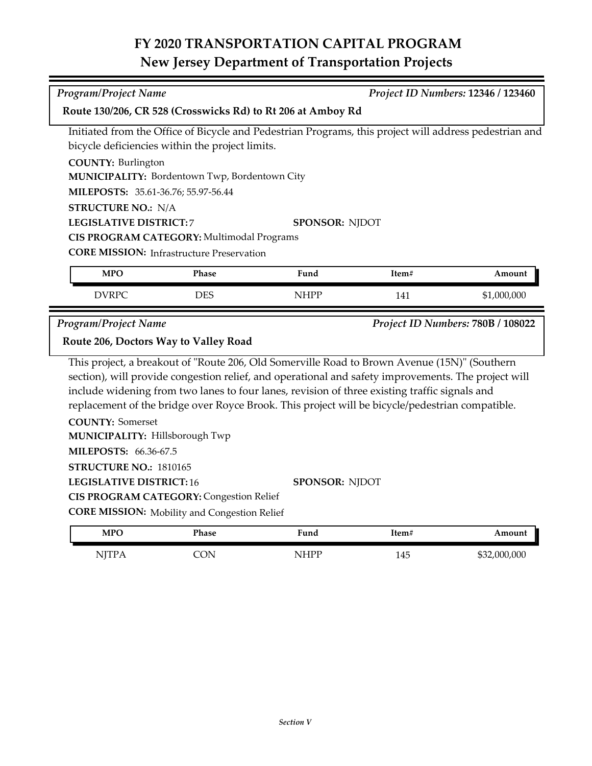## **FY 2020 TRANSPORTATION CAPITAL PROGRAM New Jersey Department of Transportation Projects**

| <b>Program/Project Name</b>                                                                                                                                                                          |                                                     |             |       | Project ID Numbers: 12346 / 123460 |  |  |  |
|------------------------------------------------------------------------------------------------------------------------------------------------------------------------------------------------------|-----------------------------------------------------|-------------|-------|------------------------------------|--|--|--|
| Route 130/206, CR 528 (Crosswicks Rd) to Rt 206 at Amboy Rd                                                                                                                                          |                                                     |             |       |                                    |  |  |  |
| Initiated from the Office of Bicycle and Pedestrian Programs, this project will address pedestrian and                                                                                               |                                                     |             |       |                                    |  |  |  |
| bicycle deficiencies within the project limits.                                                                                                                                                      |                                                     |             |       |                                    |  |  |  |
| <b>COUNTY: Burlington</b>                                                                                                                                                                            |                                                     |             |       |                                    |  |  |  |
| MUNICIPALITY: Bordentown Twp, Bordentown City                                                                                                                                                        |                                                     |             |       |                                    |  |  |  |
| MILEPOSTS: 35.61-36.76; 55.97-56.44                                                                                                                                                                  |                                                     |             |       |                                    |  |  |  |
| <b>STRUCTURE NO.: N/A</b>                                                                                                                                                                            |                                                     |             |       |                                    |  |  |  |
|                                                                                                                                                                                                      | <b>LEGISLATIVE DISTRICT:7</b><br>SPONSOR: NJDOT     |             |       |                                    |  |  |  |
|                                                                                                                                                                                                      | CIS PROGRAM CATEGORY: Multimodal Programs           |             |       |                                    |  |  |  |
| <b>CORE MISSION:</b> Infrastructure Preservation                                                                                                                                                     |                                                     |             |       |                                    |  |  |  |
| <b>MPO</b>                                                                                                                                                                                           | Phase                                               | Fund        | Item# | Amount                             |  |  |  |
| <b>DVRPC</b>                                                                                                                                                                                         | <b>DES</b>                                          | <b>NHPP</b> | 141   | \$1,000,000                        |  |  |  |
| Project ID Numbers: 780B / 108022<br><b>Program/Project Name</b>                                                                                                                                     |                                                     |             |       |                                    |  |  |  |
|                                                                                                                                                                                                      | Route 206, Doctors Way to Valley Road               |             |       |                                    |  |  |  |
|                                                                                                                                                                                                      |                                                     |             |       |                                    |  |  |  |
| This project, a breakout of "Route 206, Old Somerville Road to Brown Avenue (15N)" (Southern                                                                                                         |                                                     |             |       |                                    |  |  |  |
| section), will provide congestion relief, and operational and safety improvements. The project will<br>include widening from two lanes to four lanes, revision of three existing traffic signals and |                                                     |             |       |                                    |  |  |  |
|                                                                                                                                                                                                      |                                                     |             |       |                                    |  |  |  |
| replacement of the bridge over Royce Brook. This project will be bicycle/pedestrian compatible.<br><b>COUNTY: Somerset</b>                                                                           |                                                     |             |       |                                    |  |  |  |
| MUNICIPALITY: Hillsborough Twp                                                                                                                                                                       |                                                     |             |       |                                    |  |  |  |
| MILEPOSTS: 66.36-67.5                                                                                                                                                                                |                                                     |             |       |                                    |  |  |  |
|                                                                                                                                                                                                      |                                                     |             |       |                                    |  |  |  |
| STRUCTURE NO.: 1810165<br><b>LEGISLATIVE DISTRICT: 16</b><br><b>SPONSOR: NJDOT</b>                                                                                                                   |                                                     |             |       |                                    |  |  |  |
|                                                                                                                                                                                                      | <b>CIS PROGRAM CATEGORY: Congestion Relief</b>      |             |       |                                    |  |  |  |
|                                                                                                                                                                                                      | <b>CORE MISSION:</b> Mobility and Congestion Relief |             |       |                                    |  |  |  |
|                                                                                                                                                                                                      |                                                     |             |       |                                    |  |  |  |
| <b>MPO</b>                                                                                                                                                                                           | Phase                                               | Fund        | Item# | Amount                             |  |  |  |
| <b>NJTPA</b>                                                                                                                                                                                         | <b>CON</b>                                          | <b>NHPP</b> | 145   | \$32,000,000                       |  |  |  |